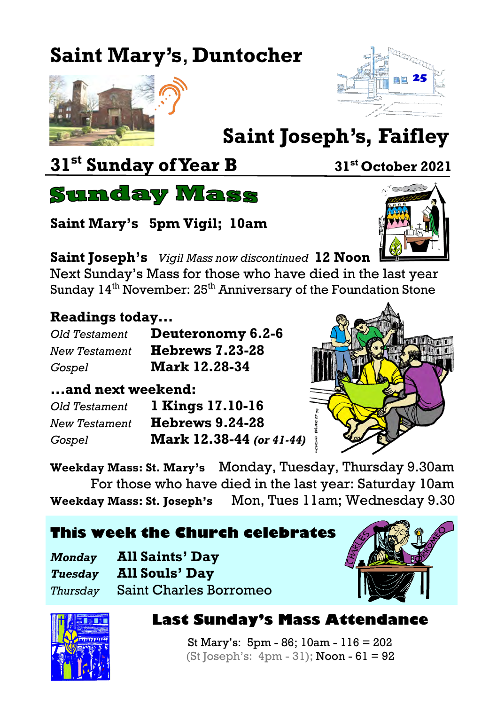# **Saint Mary's**, **Duntocher**





# **Saint Joseph's, Faifley**

## **31st Sunday of Year B <sup>31</sup>st October 2021**



**Saint Mary's 5pm Vigil; 10am**

**Saint Joseph's** *Vigil Mass now discontinued* **12 Noon**

Next Sunday's Mass for those who have died in the last year Sunday  $14<sup>th</sup>$  November:  $25<sup>th</sup>$  Anniversary of the Foundation Stone

#### **Readings today...**

| Old Testament | Deuteronomy 6.2-6      |
|---------------|------------------------|
| New Testament | <b>Hebrews 7.23-28</b> |
| Gospel        | <b>Mark 12.28-34</b>   |

#### **...and next weekend:**

| Old Testament        | 1 Kings 17.10-16         |
|----------------------|--------------------------|
| <b>New Testament</b> | <b>Hebrews 9.24-28</b>   |
| Gospel               | Mark 12.38-44 (or 41-44) |



**Weekday Mass: St. Mary's** Monday, Tuesday, Thursday 9.30am For those who have died in the last year: Saturday 10am **Weekday Mass: St. Joseph's** Mon, Tues 11am; Wednesday 9.30

|  |  |  | This week the Church celebrates |  |  |
|--|--|--|---------------------------------|--|--|
|--|--|--|---------------------------------|--|--|

| <b>Monday</b> | <b>All Saints' Day</b>          |
|---------------|---------------------------------|
| Tuesdav       | <b>All Souls' Day</b>           |
|               | Thursday Saint Charles Borromeo |





#### **Last Sunday's Mass Attendance**

St Mary's: 5pm - 86; 10am - 116 = 202 (St Joseph's:  $4$ pm  $-31$ ); Noon  $-61 = 92$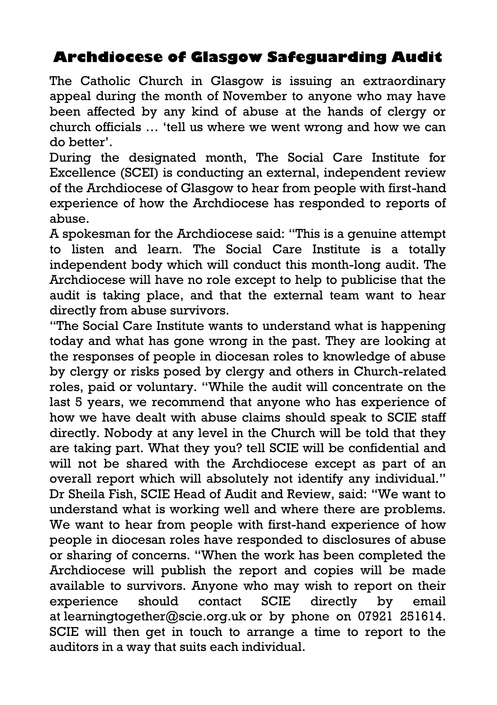### **Archdiocese of Glasgow Safeguarding Audit**

The Catholic Church in Glasgow is issuing an extraordinary appeal during the month of November to anyone who may have been affected by any kind of abuse at the hands of clergy or church officials … 'tell us where we went wrong and how we can do better'.

During the designated month, The Social Care Institute for Excellence (SCEI) is conducting an external, independent review of the Archdiocese of Glasgow to hear from people with first-hand experience of how the Archdiocese has responded to reports of abuse.

A spokesman for the Archdiocese said: "This is a genuine attempt to listen and learn. The Social Care Institute is a totally independent body which will conduct this month-long audit. The Archdiocese will have no role except to help to publicise that the audit is taking place, and that the external team want to hear directly from abuse survivors.

"The Social Care Institute wants to understand what is happening today and what has gone wrong in the past. They are looking at the responses of people in diocesan roles to knowledge of abuse by clergy or risks posed by clergy and others in Church-related roles, paid or voluntary. "While the audit will concentrate on the last 5 years, we recommend that anyone who has experience of how we have dealt with abuse claims should speak to SCIE staff directly. Nobody at any level in the Church will be told that they are taking part. What they you? tell SCIE will be confidential and will not be shared with the Archdiocese except as part of an overall report which will absolutely not identify any individual." Dr Sheila Fish, SCIE Head of Audit and Review, said: "We want to understand what is working well and where there are problems. We want to hear from people with first-hand experience of how people in diocesan roles have responded to disclosures of abuse or sharing of concerns. "When the work has been completed the Archdiocese will publish the report and copies will be made available to survivors. Anyone who may wish to report on their experience should contact SCIE directly by email at [learningtogether@scie.org.uk](mailto:learningtogether@scie.org.uk) or by phone on 07921 251614. SCIE will then get in touch to arrange a time to report to the auditors in a way that suits each individual.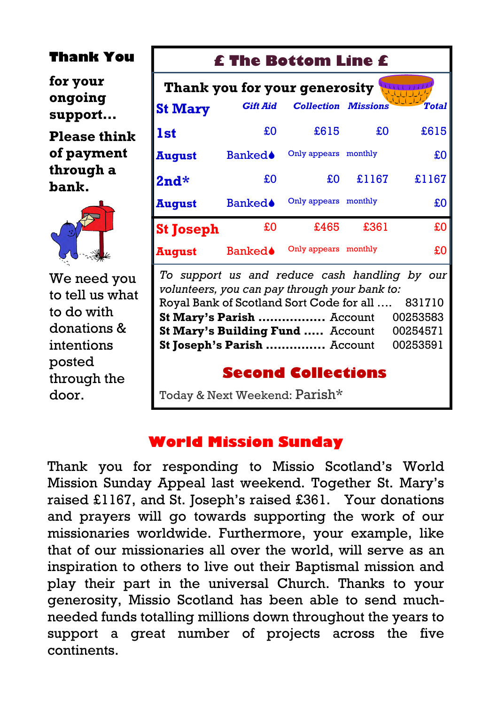#### **Thank You**

**for your ongoing support…**

**Please think of payment through a bank.**



We need you to tell us what to do with donations & intentions posted through the door.

#### **£ The Bottom Line £**

| Thank you for your generosity |                 |                            |         |              |
|-------------------------------|-----------------|----------------------------|---------|--------------|
| <b>St Mary</b>                | <b>Gift Aid</b> | <b>Collection Missions</b> |         | <b>Total</b> |
| <b>1st</b>                    | £O              | £615                       | £O      | £615         |
| <b>August</b>                 | <b>Banked</b>   | Only appears monthly       |         | £O           |
| $2nd*$                        | £O              | £O                         | £1167   | £1167        |
| <b>August</b>                 | <b>Banked</b>   | Only appears               | monthly | £O           |
| <b>St Joseph</b>              | £0              | £465                       | £361    | £O           |
| August                        | <b>Banked≜</b>  | Only appears               | monthly | £O           |

*To support us and reduce cash handling by our volunteers, you can pay through your bank to:* Royal Bank of Scotland Sort Code for all …. 831710 **St Mary's Parish .................** Account 00253583 **St Mary's Building Fund .....** Account 00254571 **St Joseph's Parish ...............** Account 00253591

#### **Second Collections**

Today & Next Weekend: Parish\*

#### **World Mission Sunday**

Thank you for responding to Missio Scotland's World Mission Sunday Appeal last weekend. Together St. Mary's raised £1167, and St. Joseph's raised £361. Your donations and prayers will go towards supporting the work of our missionaries worldwide. Furthermore, your example, like that of our missionaries all over the world, will serve as an inspiration to others to live out their Baptismal mission and play their part in the universal Church. Thanks to your generosity, Missio Scotland has been able to send muchneeded funds totalling millions down throughout the years to support a great number of projects across the five continents.